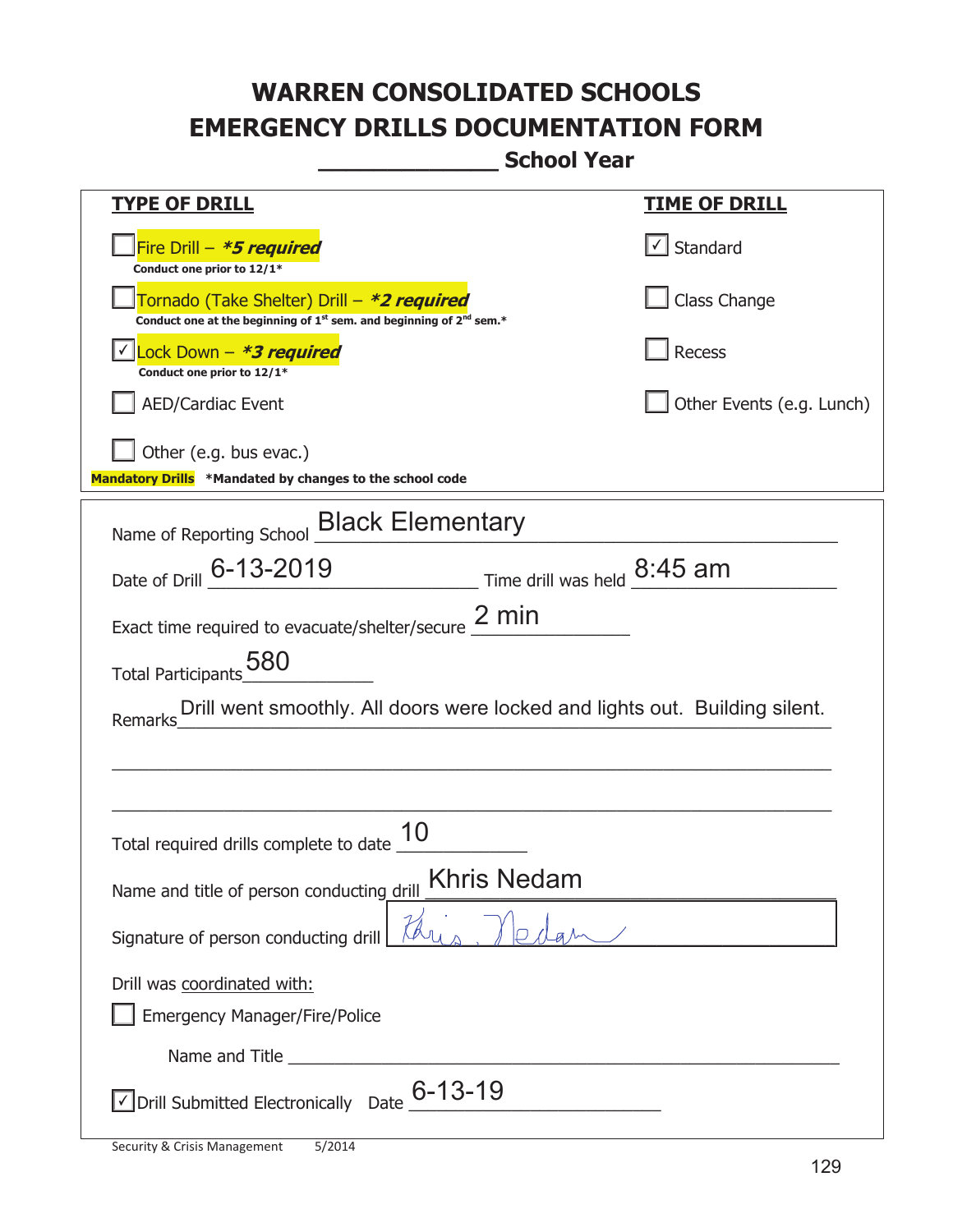**\_\_\_\_\_\_\_\_\_\_\_\_\_ School Year** 

| <b>TYPE OF DRILL</b>                                                                                                        | <b>TIME OF DRILL</b>              |
|-----------------------------------------------------------------------------------------------------------------------------|-----------------------------------|
| Fire Drill - *5 required<br>Conduct one prior to 12/1*                                                                      | $\lfloor \angle \rfloor$ Standard |
| Fornado (Take Shelter) Drill – *2 required<br>Conduct one at the beginning of $1^{st}$ sem. and beginning of $2^{nd}$ sem.* | Class Change                      |
| Lock Down - *3 required<br>Conduct one prior to 12/1*                                                                       | Recess                            |
| <b>AED/Cardiac Event</b>                                                                                                    | Other Events (e.g. Lunch)         |
| Other (e.g. bus evac.)<br>Mandatory Drills *Mandated by changes to the school code                                          |                                   |
| Name of Reporting School Black Elementary                                                                                   |                                   |
| Date of Drill 6-13-2019 Time drill was held 8:45 am                                                                         |                                   |
| Exact time required to evacuate/shelter/secure $\frac{2 \text{ min}}{2}$                                                    |                                   |
| Total Participants 580                                                                                                      |                                   |
| Drill went smoothly. All doors were locked and lights out. Building silent.<br>Remarks                                      |                                   |
|                                                                                                                             |                                   |
|                                                                                                                             |                                   |
| 10<br>Total required drills complete to date                                                                                |                                   |
| <b>Khris Nedam</b><br>Name and title of person conducting drill                                                             |                                   |
| Signature of person conducting drill                                                                                        |                                   |
| Drill was coordinated with:                                                                                                 |                                   |
| <b>Emergency Manager/Fire/Police</b>                                                                                        |                                   |
| $\sqrt{2}$ Drill Submitted Electronically Date $6-13-19$                                                                    |                                   |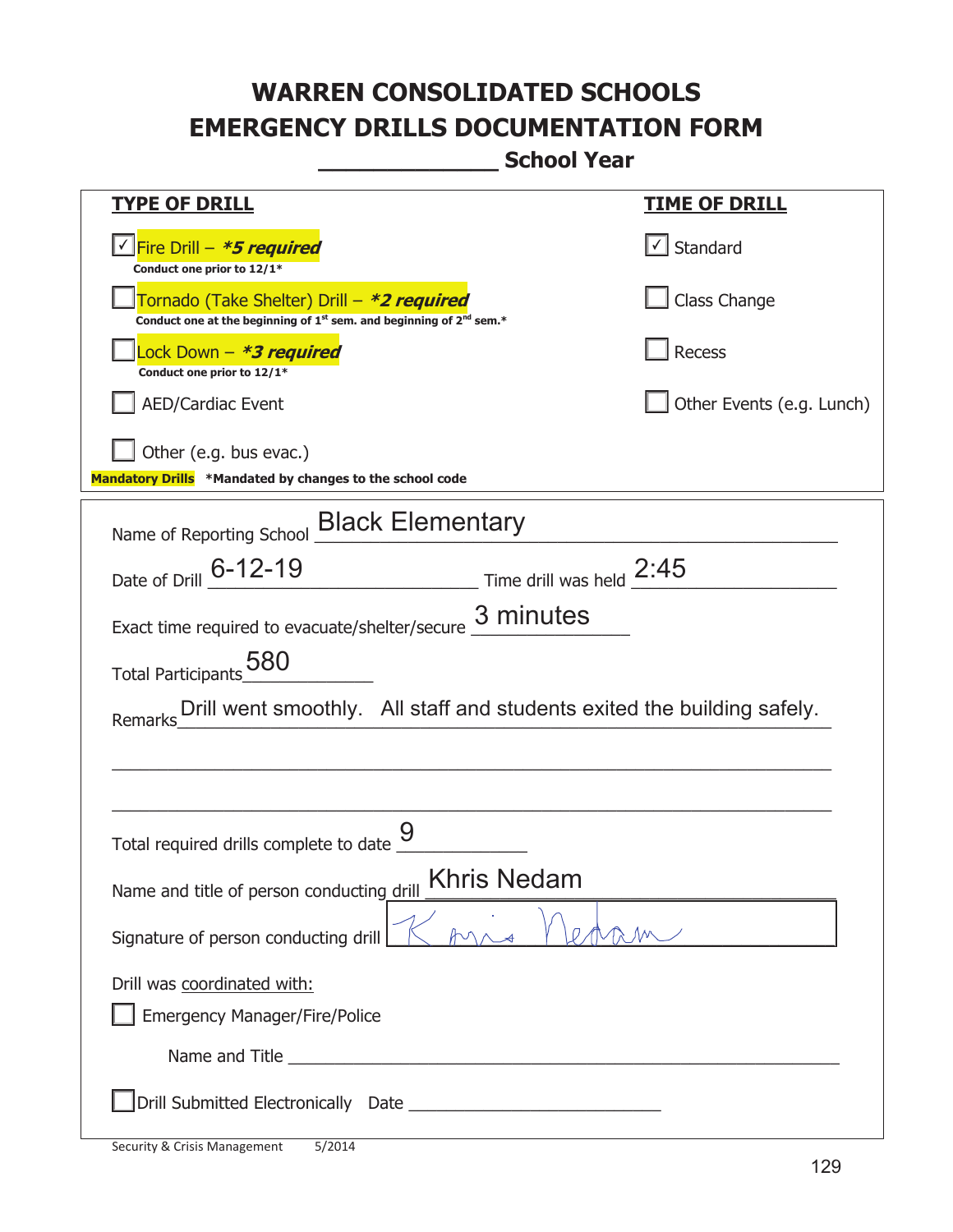**\_\_\_\_\_\_\_\_\_\_\_\_\_ School Year** 

| <u>TYPE OF DRILL</u>                                                                                                                                                                                                                                                                                                                                                   | <u>TIME OF DRILL</u>      |
|------------------------------------------------------------------------------------------------------------------------------------------------------------------------------------------------------------------------------------------------------------------------------------------------------------------------------------------------------------------------|---------------------------|
| <u>√ Fire Drill – <i>*5 required</i></u><br>Conduct one prior to 12/1*                                                                                                                                                                                                                                                                                                 | √ Standard                |
| Tornado (Take Shelter) Drill – *2 required<br>Conduct one at the beginning of 1 <sup>st</sup> sem. and beginning of 2 <sup>nd</sup> sem.*                                                                                                                                                                                                                              | Class Change              |
| Lock Down - *3 required<br>Conduct one prior to 12/1*                                                                                                                                                                                                                                                                                                                  | <b>Recess</b>             |
| <b>AED/Cardiac Event</b>                                                                                                                                                                                                                                                                                                                                               | Other Events (e.g. Lunch) |
| Other (e.g. bus evac.)<br>Mandatory Drills *Mandated by changes to the school code                                                                                                                                                                                                                                                                                     |                           |
| Name of Reporting School Black Elementary                                                                                                                                                                                                                                                                                                                              |                           |
| Date of Drill 6-12-19<br>$\frac{2.45}{\frac{2.45}{\frac{2.45}{\frac{2.45}{\frac{2.45}{\frac{2.45}{\frac{2.45}{\frac{2.45}{\frac{2.45}{\frac{2.45}{\frac{2.45}{\frac{2.45}{\frac{2.45}{\frac{2.45}{\frac{2.45}{\frac{2.45}{\frac{2.45}{\frac{2.45}{\frac{2.45}{\frac{2.45}{\frac{2.45}{\frac{2.45}{\frac{2.45}{\frac{2.45}{\frac{2.45}{\frac{2.45}{\frac{2.45}{\frac{2$ |                           |
| Exact time required to evacuate/shelter/secure $\underline{3}$ minutes                                                                                                                                                                                                                                                                                                 |                           |
| 580<br><b>Total Participants</b><br>Drill went smoothly. All staff and students exited the building safely.<br>Remarks                                                                                                                                                                                                                                                 |                           |
| Total required drills complete to date                                                                                                                                                                                                                                                                                                                                 |                           |
| <b>Khris Nedam</b>                                                                                                                                                                                                                                                                                                                                                     |                           |
| Name and title of person conducting drill<br>Signature of person conducting drill                                                                                                                                                                                                                                                                                      |                           |
| Drill was coordinated with:                                                                                                                                                                                                                                                                                                                                            |                           |
| <b>Emergency Manager/Fire/Police</b>                                                                                                                                                                                                                                                                                                                                   |                           |
| Name and Title <b>Example 2018</b> Name and Title <b>1999</b>                                                                                                                                                                                                                                                                                                          |                           |
|                                                                                                                                                                                                                                                                                                                                                                        |                           |

t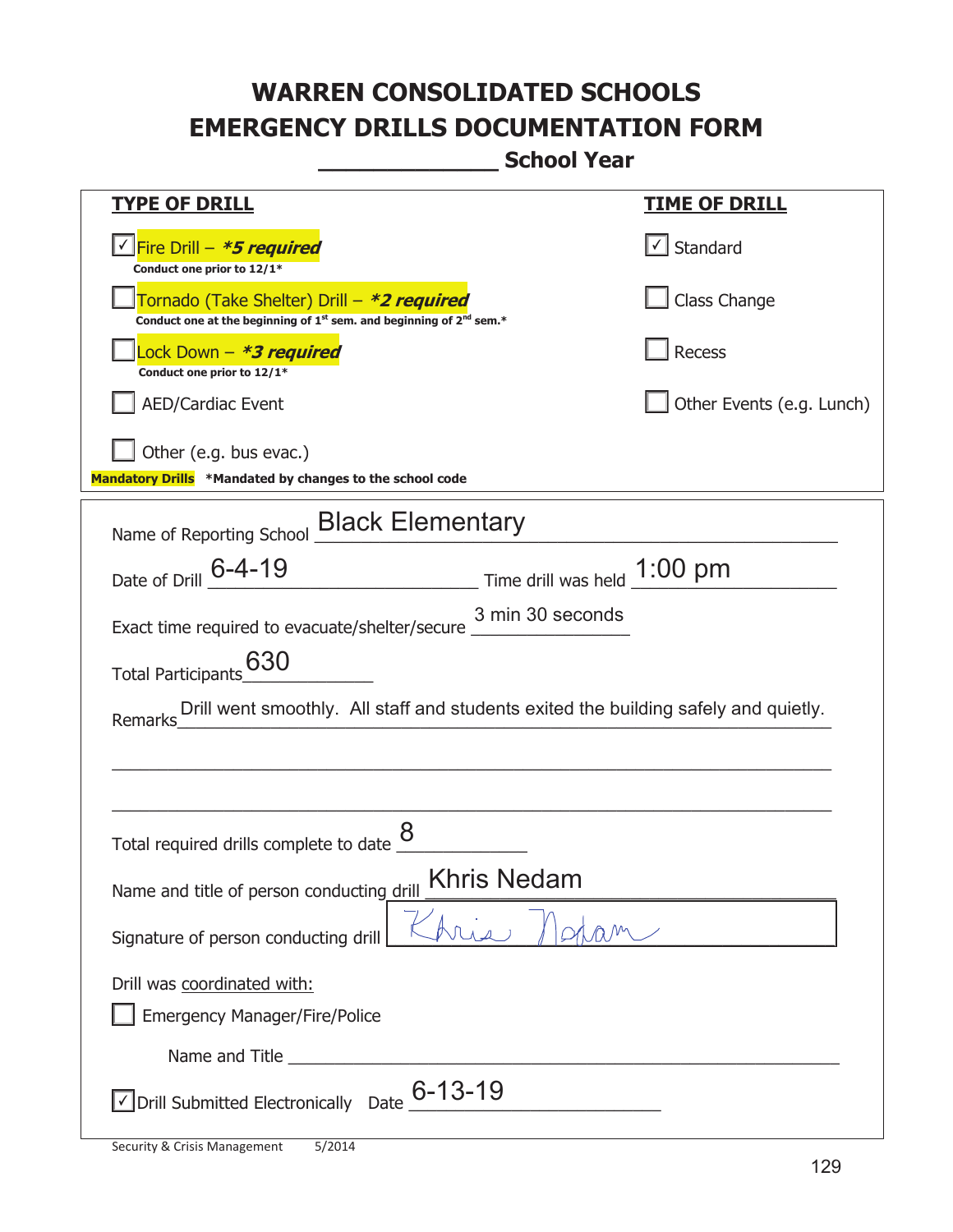**\_\_\_\_\_\_\_\_\_\_\_\_\_ School Year** 

| <b>TYPE OF DRILL</b>                                                                                                                      | <u>TIME OF DRILL</u>              |
|-------------------------------------------------------------------------------------------------------------------------------------------|-----------------------------------|
|                                                                                                                                           |                                   |
| <u>√ Fire Drill – <i>*5 required</i></u><br>Conduct one prior to 12/1*                                                                    | $\lfloor \angle \rfloor$ Standard |
| Tornado (Take Shelter) Drill – *2 required<br>Conduct one at the beginning of 1 <sup>st</sup> sem. and beginning of 2 <sup>nd</sup> sem.* | Class Change                      |
| Lock Down – <b>*<i>3 required</i></b><br>Conduct one prior to 12/1*                                                                       | Recess                            |
| <b>AED/Cardiac Event</b>                                                                                                                  | Other Events (e.g. Lunch)         |
| Other (e.g. bus evac.)                                                                                                                    |                                   |
| Mandatory Drills *Mandated by changes to the school code                                                                                  |                                   |
| Name of Reporting School <b>Black Elementary</b>                                                                                          |                                   |
| Date of Drill 6-4-19<br>$\frac{1:00 \text{ pm}}{}$ Time drill was held $\frac{1:00 \text{ pm}}{}$                                         |                                   |
| 3 min 30 seconds<br>Exact time required to evacuate/shelter/secure                                                                        |                                   |
| 630<br><b>Total Participants</b>                                                                                                          |                                   |
| Drill went smoothly. All staff and students exited the building safely and quietly.<br>Remarks                                            |                                   |
|                                                                                                                                           |                                   |
|                                                                                                                                           |                                   |
| Total required drills complete to date                                                                                                    |                                   |
| <b>Khris Nedam</b><br>Name and title of person conducting drill                                                                           |                                   |
| Signature of person conducting drill                                                                                                      |                                   |
| Drill was coordinated with:                                                                                                               |                                   |
| <b>Emergency Manager/Fire/Police</b>                                                                                                      |                                   |
|                                                                                                                                           |                                   |
| $\vee$ Drill Submitted Electronically Date $\underline{\phantom{0}6}$ -13-19                                                              |                                   |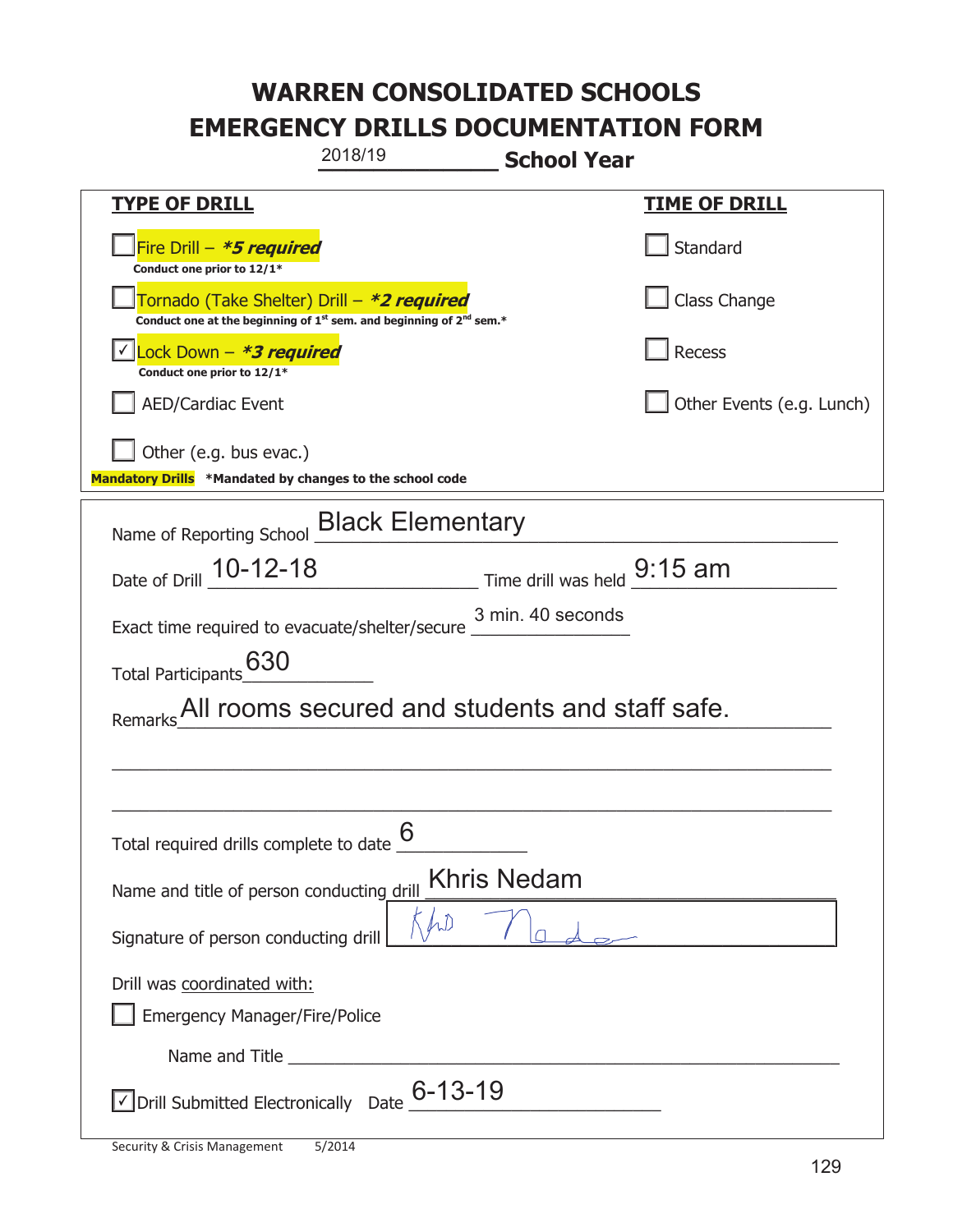|                                                                                    | 2018/19                                                                 | <b>School Year</b>                                 |
|------------------------------------------------------------------------------------|-------------------------------------------------------------------------|----------------------------------------------------|
| <b>TYPE OF DRILL</b>                                                               |                                                                         | <u>TIME OF DRILL</u>                               |
| Fire Drill - *5 required<br>Conduct one prior to 12/1*                             |                                                                         | Standard                                           |
| Tornado (Take Shelter) Drill – *2 required                                         | Conduct one at the beginning of $1st$ sem. and beginning of $2nd$ sem.* | Class Change                                       |
| Lock Down - *3 required<br>Conduct one prior to 12/1*                              |                                                                         | <b>Recess</b>                                      |
| <b>AED/Cardiac Event</b>                                                           |                                                                         | Other Events (e.g. Lunch)                          |
| Other (e.g. bus evac.)<br>Mandatory Drills *Mandated by changes to the school code |                                                                         |                                                    |
| Name of Reporting School <b>Black Elementary</b>                                   |                                                                         |                                                    |
|                                                                                    |                                                                         | Date of Drill 10-12-18 Time drill was held 9:15 am |
| Exact time required to evacuate/shelter/secure 3 min. 40 seconds                   |                                                                         |                                                    |
| 630<br><b>Total Participants</b>                                                   |                                                                         |                                                    |
|                                                                                    |                                                                         | All rooms secured and students and staff safe.     |
|                                                                                    |                                                                         |                                                    |
|                                                                                    |                                                                         |                                                    |
| Total required drills complete to date                                             | 6                                                                       |                                                    |
| Name and title of person conducting drill                                          |                                                                         | <b>Khris Nedam</b>                                 |
| Signature of person conducting drill                                               |                                                                         |                                                    |
| Drill was coordinated with:                                                        |                                                                         |                                                    |
| <b>Emergency Manager/Fire/Police</b>                                               |                                                                         |                                                    |
|                                                                                    |                                                                         |                                                    |
| √ Drill Submitted Electronically Date                                              | $6 - 13 - 19$                                                           |                                                    |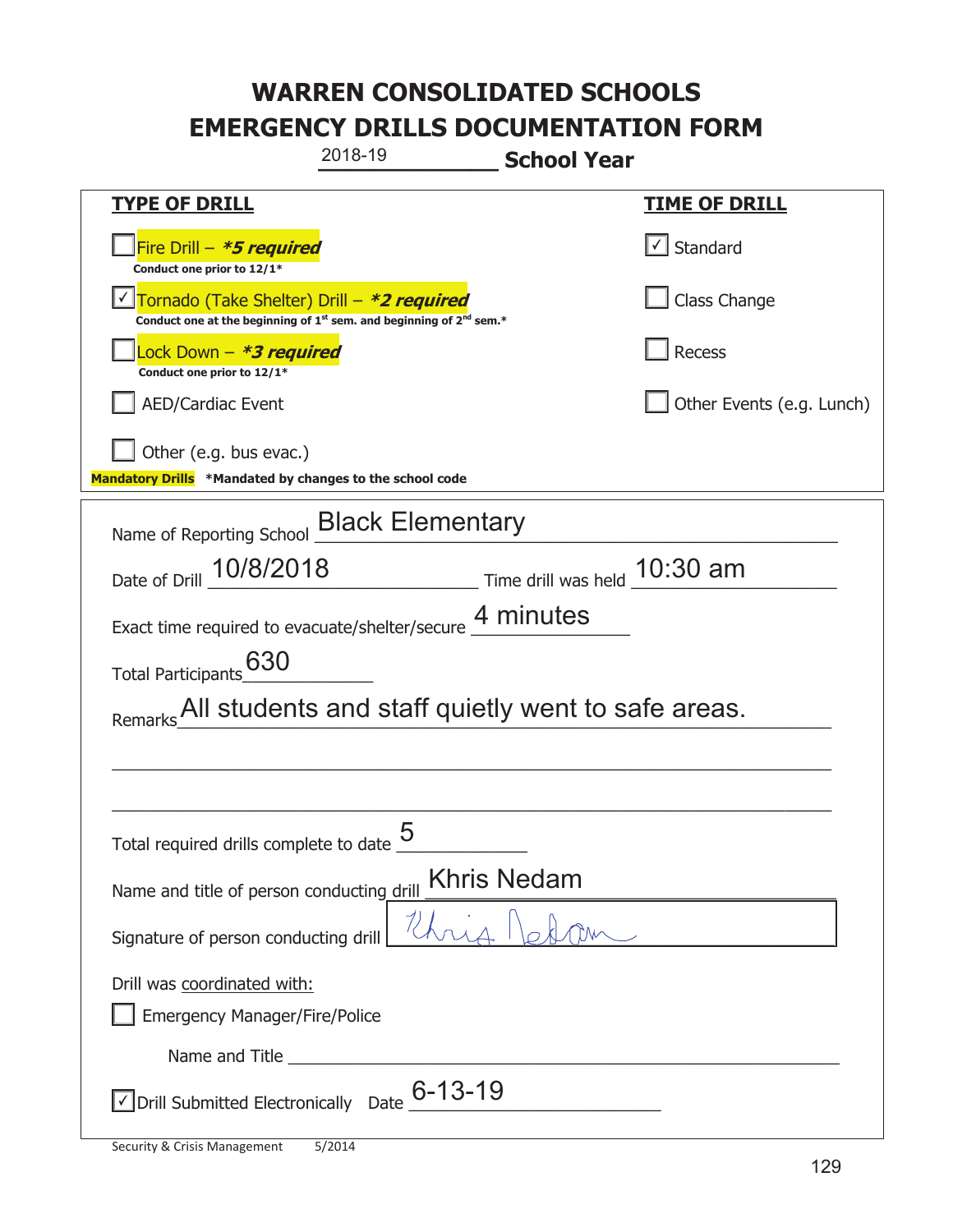| 2018-19                                                                                                                                   | <b>School Year</b>                                         |
|-------------------------------------------------------------------------------------------------------------------------------------------|------------------------------------------------------------|
| <b>TYPE OF DRILL</b>                                                                                                                      | <b>TIME OF DRILL</b>                                       |
| Fire Drill - *5 required<br>Conduct one prior to 12/1*                                                                                    | √ Standard                                                 |
| Tornado (Take Shelter) Drill - *2 required<br>Conduct one at the beginning of 1 <sup>st</sup> sem. and beginning of 2 <sup>nd</sup> sem.* | Class Change                                               |
| Lock Down – <b>*<i>3 required</i></b><br>Conduct one prior to 12/1*                                                                       | Recess                                                     |
| <b>AED/Cardiac Event</b>                                                                                                                  | Other Events (e.g. Lunch)                                  |
| Other (e.g. bus evac.)<br>Mandatory Drills *Mandated by changes to the school code                                                        |                                                            |
| Name of Reporting School <b>Black Elementary</b>                                                                                          |                                                            |
|                                                                                                                                           | Date of Drill 10/8/2018 Time drill was held 10:30 am       |
| Exact time required to evacuate/shelter/secure 4 minutes                                                                                  |                                                            |
| 630<br><b>Total Participants</b>                                                                                                          |                                                            |
|                                                                                                                                           | Remarks All students and staff quietly went to safe areas. |
|                                                                                                                                           |                                                            |
|                                                                                                                                           |                                                            |
| 5<br>Total required drills complete to date                                                                                               |                                                            |
| Khris Nedam<br>Name and title of person conducting drill                                                                                  |                                                            |
| Signature of person conducting drill                                                                                                      |                                                            |
| Drill was coordinated with:<br><b>Emergency Manager/Fire/Police</b>                                                                       |                                                            |
|                                                                                                                                           |                                                            |
| $\vee$ Drill Submitted Electronically Date $\underline{6}$ -13-19                                                                         |                                                            |

T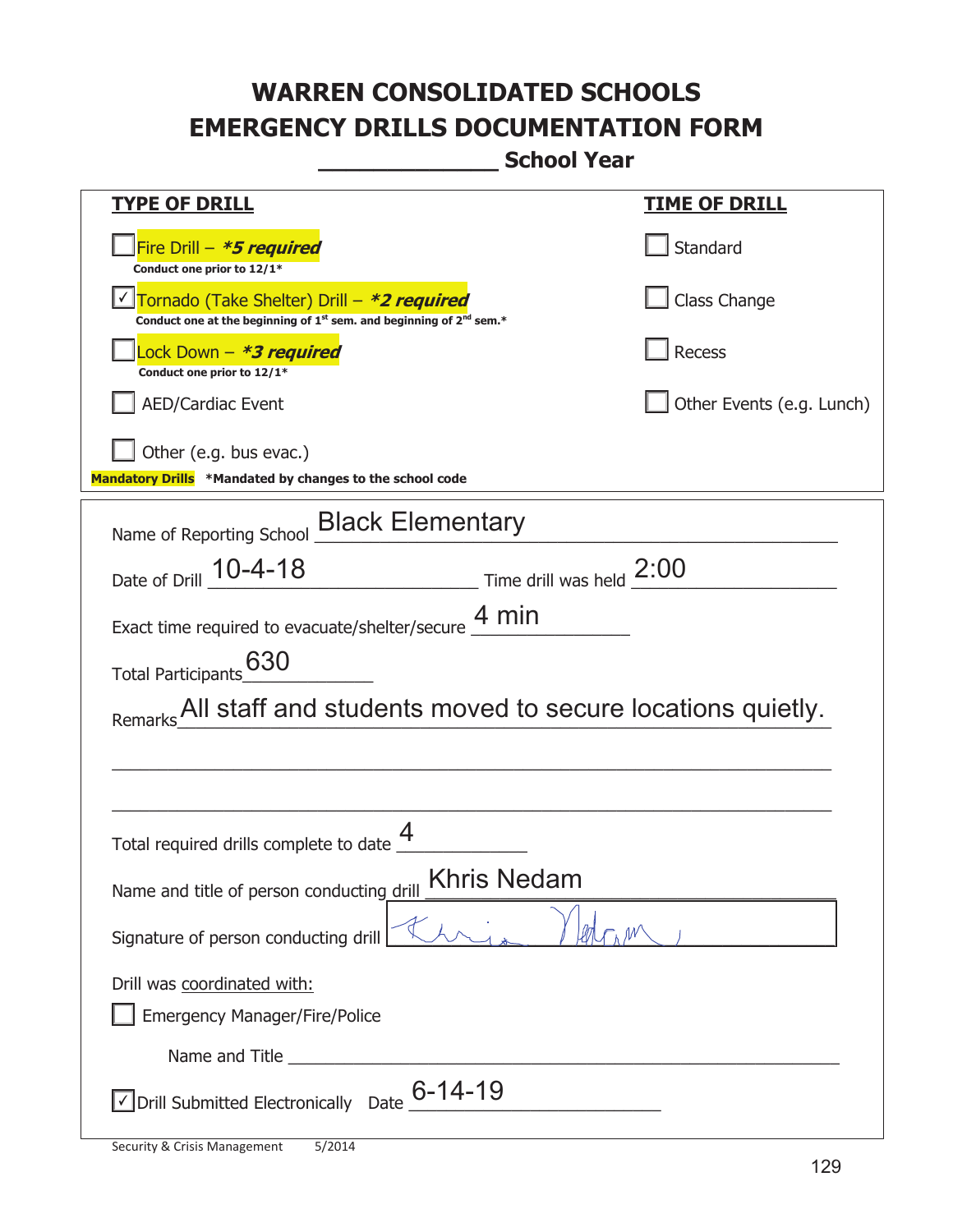**\_\_\_\_\_\_\_\_\_\_\_\_\_ School Year** 

| <b>TYPE OF DRILL</b>                                                                                                                      | <b>TIME OF DRILL</b>      |
|-------------------------------------------------------------------------------------------------------------------------------------------|---------------------------|
| Fire Drill - <b>*5 required</b><br>Conduct one prior to 12/1*                                                                             | Standard                  |
| Tornado (Take Shelter) Drill - *2 required<br>Conduct one at the beginning of 1 <sup>st</sup> sem. and beginning of 2 <sup>nd</sup> sem.* | Class Change              |
| Lock Down – <b>*3 required</b><br>Conduct one prior to 12/1*                                                                              | Recess                    |
| <b>AED/Cardiac Event</b>                                                                                                                  | Other Events (e.g. Lunch) |
| Other (e.g. bus evac.)                                                                                                                    |                           |
| Mandatory Drills *Mandated by changes to the school code                                                                                  |                           |
| Name of Reporting School <b>Black Elementary</b>                                                                                          |                           |
| Date of Drill 10-4-18<br>Time drill was held 2:00                                                                                         |                           |
| Exact time required to evacuate/shelter/secure $\underline{4}$ min                                                                        |                           |
| Total Participants_630                                                                                                                    |                           |
| All staff and students moved to secure locations quietly.<br>Remarks                                                                      |                           |
|                                                                                                                                           |                           |
|                                                                                                                                           |                           |
| Total required drills complete to date $\frac{4}{\sqrt{2}}$                                                                               |                           |
| <b>Khris Nedam</b><br>Name and title of person conducting drill                                                                           |                           |
| Signature of person conducting drill                                                                                                      |                           |
| Drill was coordinated with:                                                                                                               |                           |
| <b>Emergency Manager/Fire/Police</b>                                                                                                      |                           |
|                                                                                                                                           |                           |
| $\sqrt{\phantom{a}}$ Drill Submitted Electronically Date $\frac{\phantom{a}6\phantom{a}}{\phantom{a}}$ -14-19                             |                           |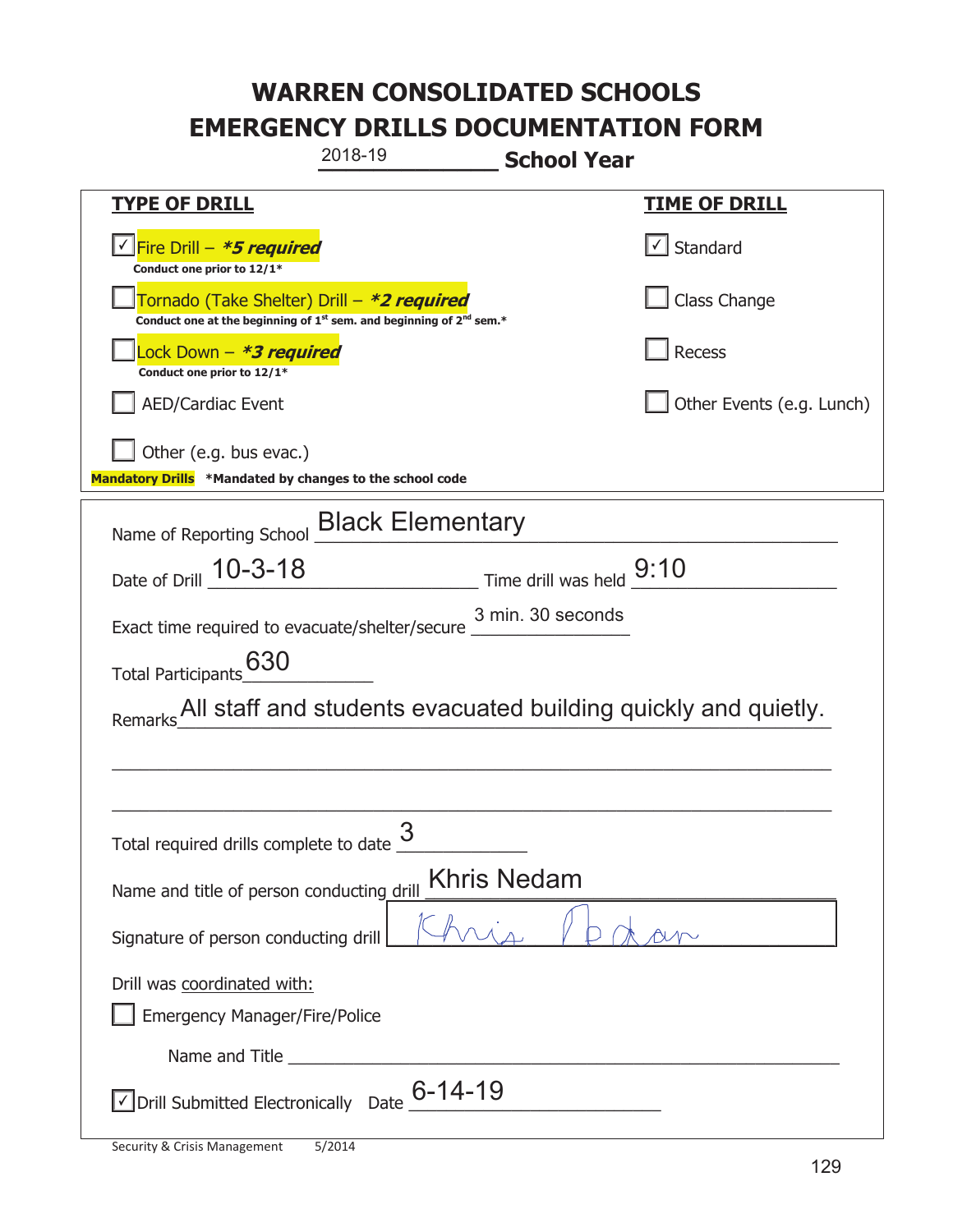| 2018-19<br><b>School Year</b>                                                                                                             |                                                    |  |
|-------------------------------------------------------------------------------------------------------------------------------------------|----------------------------------------------------|--|
| <b>TYPE OF DRILL</b>                                                                                                                      | <b>TIME OF DRILL</b>                               |  |
| <u> √ Fire Drill – <i>*5 required</i></u><br>Conduct one prior to 12/1*                                                                   | $\vert\textcolor{red}{\checkmark}\vert$ Standard   |  |
| Tornado (Take Shelter) Drill – *2 required<br>Conduct one at the beginning of 1 <sup>st</sup> sem. and beginning of 2 <sup>nd</sup> sem.* | Class Change                                       |  |
| Lock Down – <b>*<i>3 required</i></b><br>Conduct one prior to 12/1*                                                                       | Recess                                             |  |
| <b>AED/Cardiac Event</b>                                                                                                                  | Other Events (e.g. Lunch)                          |  |
| Other (e.g. bus evac.)<br>Mandatory Drills *Mandated by changes to the school code                                                        |                                                    |  |
| Name of Reporting School <b>Black Elementary</b>                                                                                          |                                                    |  |
| Date of Drill 10-3-18                                                                                                                     | $\frac{1}{2}$ Time drill was held $\frac{9:10}{2}$ |  |
| 3 min. 30 seconds<br>Exact time required to evacuate/shelter/secure ___                                                                   |                                                    |  |
| Total Participants 630                                                                                                                    |                                                    |  |
| Remarks All staff and students evacuated building quickly and quietly.                                                                    |                                                    |  |
|                                                                                                                                           |                                                    |  |
|                                                                                                                                           |                                                    |  |
| 3<br>Total required drills complete to date                                                                                               |                                                    |  |
| <b>Khris Nedam</b><br>Name and title of person conducting drill                                                                           |                                                    |  |
| Signature of person conducting drill                                                                                                      |                                                    |  |
| Drill was coordinated with:                                                                                                               |                                                    |  |
| <b>Emergency Manager/Fire/Police</b>                                                                                                      |                                                    |  |
|                                                                                                                                           |                                                    |  |
| <b>JDrill Submitted Electronically</b> Date $\underline{6}$ <b>-14-19</b>                                                                 |                                                    |  |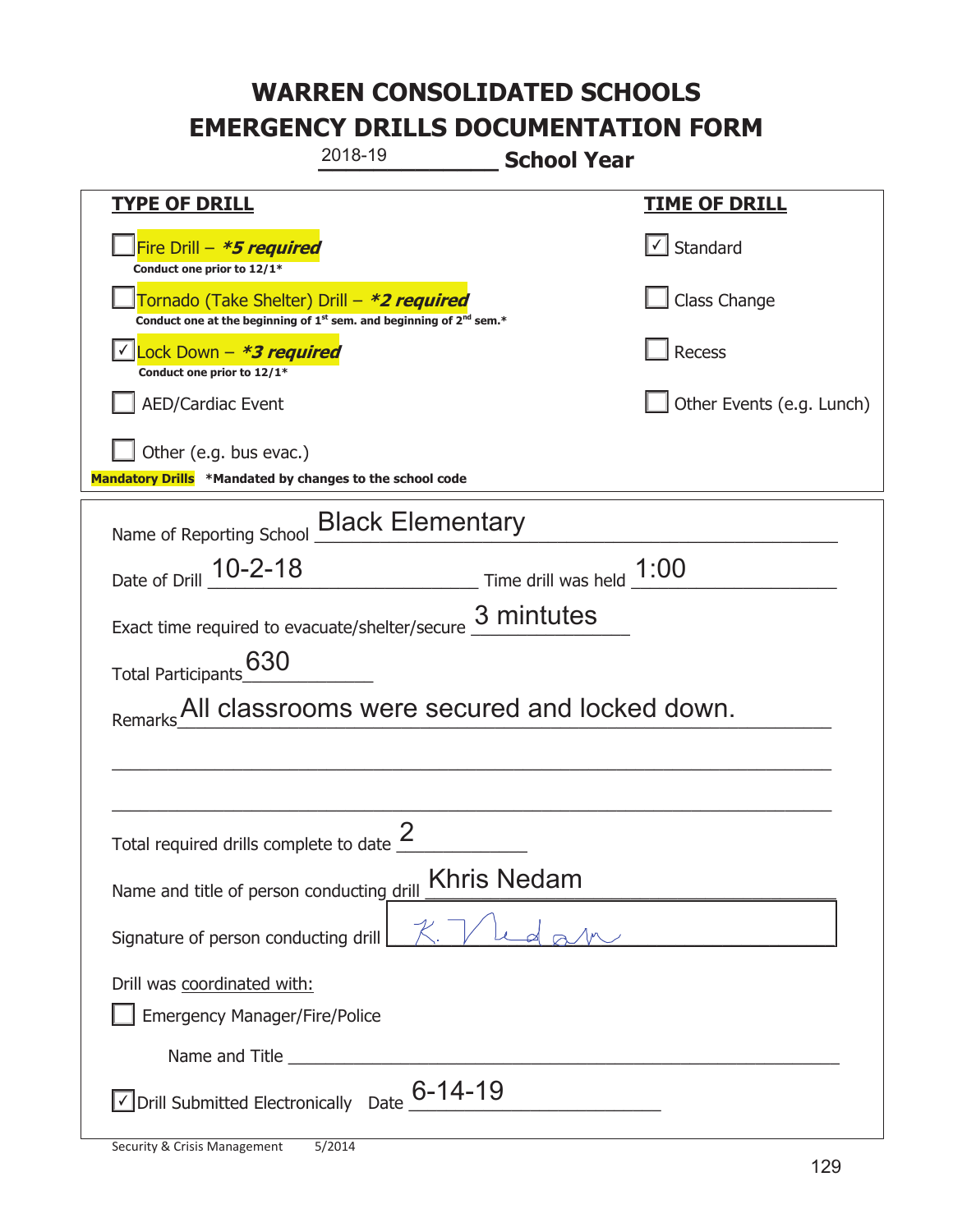|                                                                                    | 2018-19<br><b>School Year</b>                                                   |                           |
|------------------------------------------------------------------------------------|---------------------------------------------------------------------------------|---------------------------|
| <u>TYPE OF DRILL</u>                                                               |                                                                                 | <u>TIME OF DRILL</u>      |
| Fire Drill - *5 required<br>Conduct one prior to 12/1*                             |                                                                                 | √ Standard                |
| Tornado (Take Shelter) Drill – *2 required                                         | Conduct one at the beginning of $1^{st}$ sem. and beginning of $2^{nd}$ sem.*   | Class Change              |
| Lock Down - *3 required<br>Conduct one prior to 12/1*                              |                                                                                 | Recess                    |
| <b>AED/Cardiac Event</b>                                                           |                                                                                 | Other Events (e.g. Lunch) |
| Other (e.g. bus evac.)<br>Mandatory Drills *Mandated by changes to the school code |                                                                                 |                           |
|                                                                                    | Name of Reporting School <b>Black Elementary</b>                                |                           |
| Date of Drill 10-2-18                                                              | $\frac{1:00}{\frac{1}{2}:00}$ Time drill was held $\frac{1:00}{\frac{1}{2}:00}$ |                           |
|                                                                                    | Exact time required to evacuate/shelter/secure $\frac{3}{2}$ mintutes           |                           |
| 630<br><b>Total Participants</b>                                                   |                                                                                 |                           |
|                                                                                    | All classrooms were secured and locked down.                                    |                           |
|                                                                                    |                                                                                 |                           |
|                                                                                    |                                                                                 |                           |
| Total required drills complete to date $\frac{2}{3}$                               |                                                                                 |                           |
| Name and title of person conducting drill                                          | <b>Khris Nedam</b>                                                              |                           |
| Signature of person conducting drill                                               |                                                                                 |                           |
| Drill was coordinated with:                                                        |                                                                                 |                           |
| <b>Emergency Manager/Fire/Police</b>                                               |                                                                                 |                           |
|                                                                                    |                                                                                 |                           |
| $\vee$ Drill Submitted Electronically Date $\underline{6}$ -14-19                  |                                                                                 |                           |